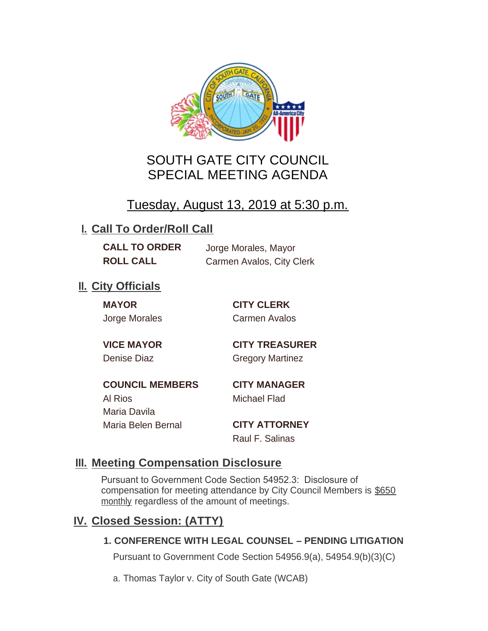

# SOUTH GATE CITY COUNCIL SPECIAL MEETING AGENDA

# Tuesday, August 13, 2019 at 5:30 p.m.

# **I. Call To Order/Roll Call**

**CALL TO ORDER** Jorge Morales, Mayor

**ROLL CALL** Carmen Avalos, City Clerk

## **II.** City Officials

**MAYOR CITY CLERK**

Jorge Morales Carmen Avalos

**VICE MAYOR CITY TREASURER** Denise Diaz Gregory Martinez

**COUNCIL MEMBERS CITY MANAGER** Al Rios Michael Flad Maria Davila Maria Belen Bernal **CITY ATTORNEY**

Raul F. Salinas

### **Meeting Compensation Disclosure III.**

Pursuant to Government Code Section 54952.3: Disclosure of compensation for meeting attendance by City Council Members is \$650 monthly regardless of the amount of meetings.

## **Closed Session: (ATTY) IV.**

#### **1. CONFERENCE WITH LEGAL COUNSEL – PENDING LITIGATION**

Pursuant to Government Code Section 54956.9(a), 54954.9(b)(3)(C)

a. Thomas Taylor v. City of South Gate (WCAB)